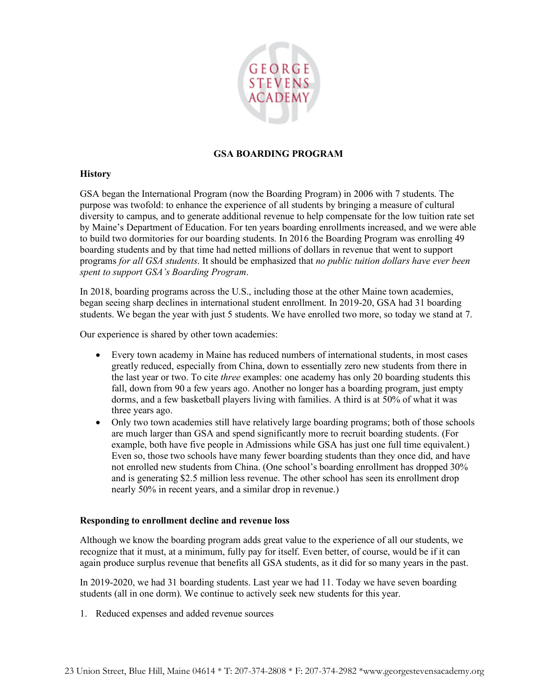

## **GSA BOARDING PROGRAM**

## **History**

GSA began the International Program (now the Boarding Program) in 2006 with 7 students. The purpose was twofold: to enhance the experience of all students by bringing a measure of cultural diversity to campus, and to generate additional revenue to help compensate for the low tuition rate set by Maine's Department of Education. For ten years boarding enrollments increased, and we were able to build two dormitories for our boarding students. In 2016 the Boarding Program was enrolling 49 boarding students and by that time had netted millions of dollars in revenue that went to support programs *for all GSA students*. It should be emphasized that *no public tuition dollars have ever been spent to support GSA's Boarding Program*.

In 2018, boarding programs across the U.S., including those at the other Maine town academies, began seeing sharp declines in international student enrollment. In 2019-20, GSA had 31 boarding students. We began the year with just 5 students. We have enrolled two more, so today we stand at 7.

Our experience is shared by other town academies:

- Every town academy in Maine has reduced numbers of international students, in most cases greatly reduced, especially from China, down to essentially zero new students from there in the last year or two. To cite *three* examples: one academy has only 20 boarding students this fall, down from 90 a few years ago. Another no longer has a boarding program, just empty dorms, and a few basketball players living with families. A third is at 50% of what it was three years ago.
- Only two town academies still have relatively large boarding programs; both of those schools are much larger than GSA and spend significantly more to recruit boarding students. (For example, both have five people in Admissions while GSA has just one full time equivalent.) Even so, those two schools have many fewer boarding students than they once did, and have not enrolled new students from China. (One school's boarding enrollment has dropped 30% and is generating \$2.5 million less revenue. The other school has seen its enrollment drop nearly 50% in recent years, and a similar drop in revenue.)

## **Responding to enrollment decline and revenue loss**

Although we know the boarding program adds great value to the experience of all our students, we recognize that it must, at a minimum, fully pay for itself. Even better, of course, would be if it can again produce surplus revenue that benefits all GSA students, as it did for so many years in the past.

In 2019-2020, we had 31 boarding students. Last year we had 11. Today we have seven boarding students (all in one dorm). We continue to actively seek new students for this year.

1. Reduced expenses and added revenue sources